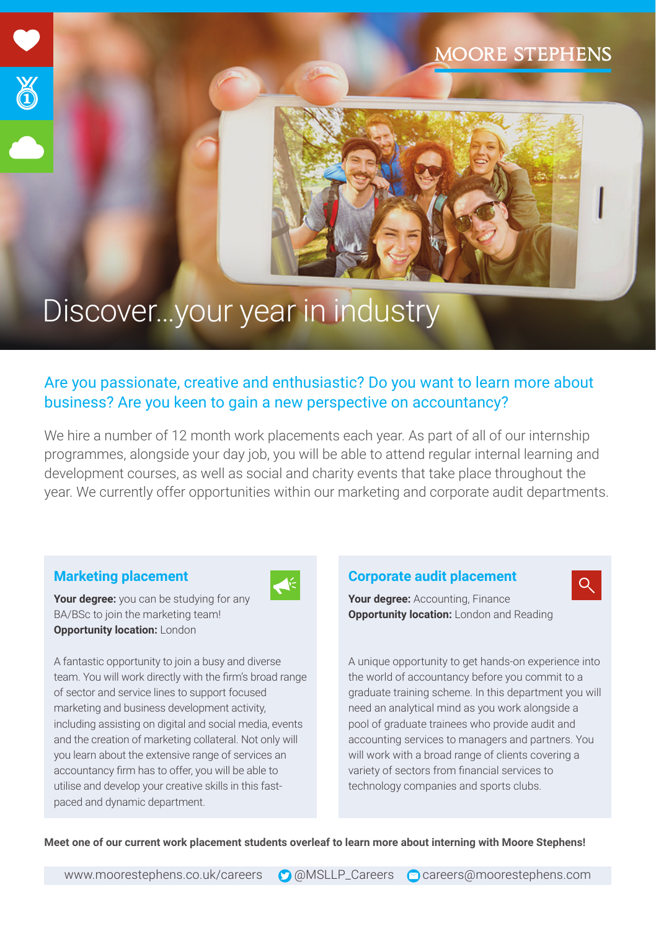## **MOORE STEPHENS**

# Discover…your year in industry

### Are you passionate, creative and enthusiastic? Do you want to learn more about business? Are you keen to gain a new perspective on accountancy?

We hire a number of 12 month work placements each year. As part of all of our internship programmes, alongside your day job, you will be able to attend regular internal learning and development courses, as well as social and charity events that take place throughout the year. We currently offer opportunities within our marketing and corporate audit departments.

 $\blacktriangle \in$ 

#### **Marketing placement**

T

**Your degree:** you can be studying for any BA/BSc to join the marketing team! **Opportunity location: London** 

A fantastic opportunity to join a busy and diverse team. You will work directly with the firm's broad range of sector and service lines to support focused marketing and business development activity, including assisting on digital and social media, events and the creation of marketing collateral. Not only will you learn about the extensive range of services an accountancy firm has to offer, you will be able to utilise and develop your creative skills in this fastpaced and dynamic department.

#### **Corporate audit placement**

**Your degree:** Accounting, Finance **Opportunity location:** London and Reading

A unique opportunity to get hands-on experience into the world of accountancy before you commit to a graduate training scheme. In this department you will need an analytical mind as you work alongside a pool of graduate trainees who provide audit and accounting services to managers and partners. You will work with a broad range of clients covering a variety of sectors from financial services to technology companies and sports clubs.

 $Q_{\rm c}$ 

**Meet one of our current work placement students overleaf to learn more about interning with Moore Stephens!**